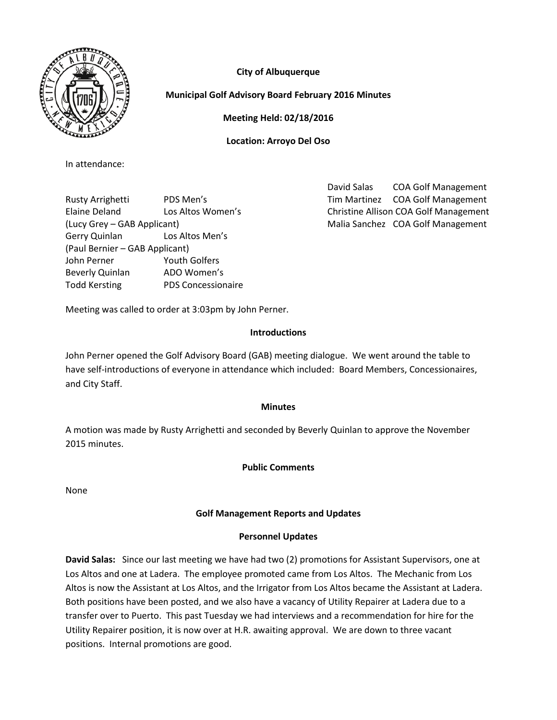

# **City of Albuquerque**

# **Municipal Golf Advisory Board February 2016 Minutes**

**Meeting Held: 02/18/2016**

**Location: Arroyo Del Oso**

In attendance:

Rusty Arrighetti PDS Men's Tim Martinez COA Golf Management Elaine Deland Los Altos Women's Christine Allison COA Golf Management (Lucy Grey – GAB Applicant) Malia Sanchez COA Golf Management Gerry Quinlan Los Altos Men's (Paul Bernier – GAB Applicant) John Perner Youth Golfers Beverly Quinlan ADO Women's Todd Kersting PDS Concessionaire

David Salas COA Golf Management

Meeting was called to order at 3:03pm by John Perner.

#### **Introductions**

John Perner opened the Golf Advisory Board (GAB) meeting dialogue. We went around the table to have self-introductions of everyone in attendance which included: Board Members, Concessionaires, and City Staff.

# **Minutes**

A motion was made by Rusty Arrighetti and seconded by Beverly Quinlan to approve the November 2015 minutes.

# **Public Comments**

None

# **Golf Management Reports and Updates**

# **Personnel Updates**

**David Salas:** Since our last meeting we have had two (2) promotions for Assistant Supervisors, one at Los Altos and one at Ladera. The employee promoted came from Los Altos. The Mechanic from Los Altos is now the Assistant at Los Altos, and the Irrigator from Los Altos became the Assistant at Ladera. Both positions have been posted, and we also have a vacancy of Utility Repairer at Ladera due to a transfer over to Puerto. This past Tuesday we had interviews and a recommendation for hire for the Utility Repairer position, it is now over at H.R. awaiting approval. We are down to three vacant positions. Internal promotions are good.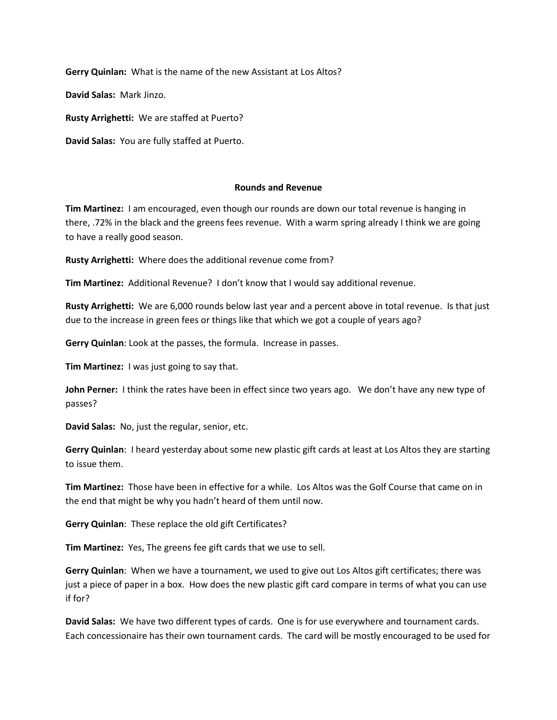**Gerry Quinlan:** What is the name of the new Assistant at Los Altos?

**David Salas:** Mark Jinzo.

**Rusty Arrighetti:** We are staffed at Puerto?

**David Salas:** You are fully staffed at Puerto.

#### **Rounds and Revenue**

**Tim Martinez:** I am encouraged, even though our rounds are down our total revenue is hanging in there, .72% in the black and the greens fees revenue. With a warm spring already I think we are going to have a really good season.

**Rusty Arrighetti:** Where does the additional revenue come from?

**Tim Martinez:** Additional Revenue? I don't know that I would say additional revenue.

**Rusty Arrighetti:** We are 6,000 rounds below last year and a percent above in total revenue. Is that just due to the increase in green fees or things like that which we got a couple of years ago?

**Gerry Quinlan**: Look at the passes, the formula. Increase in passes.

**Tim Martinez:** I was just going to say that.

**John Perner:** I think the rates have been in effect since two years ago. We don't have any new type of passes?

**David Salas:** No, just the regular, senior, etc.

**Gerry Quinlan**: I heard yesterday about some new plastic gift cards at least at Los Altos they are starting to issue them.

**Tim Martinez:** Those have been in effective for a while. Los Altos was the Golf Course that came on in the end that might be why you hadn't heard of them until now.

**Gerry Quinlan**: These replace the old gift Certificates?

**Tim Martinez:** Yes, The greens fee gift cards that we use to sell.

**Gerry Quinlan**: When we have a tournament, we used to give out Los Altos gift certificates; there was just a piece of paper in a box. How does the new plastic gift card compare in terms of what you can use if for?

**David Salas:** We have two different types of cards. One is for use everywhere and tournament cards. Each concessionaire has their own tournament cards. The card will be mostly encouraged to be used for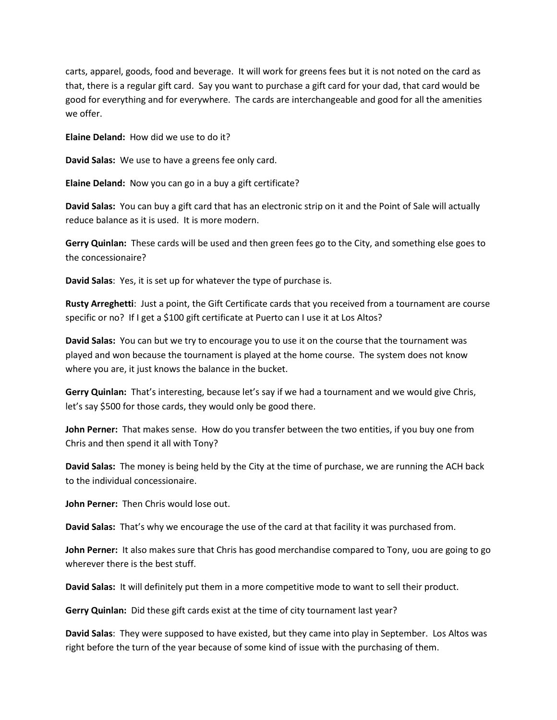carts, apparel, goods, food and beverage. It will work for greens fees but it is not noted on the card as that, there is a regular gift card. Say you want to purchase a gift card for your dad, that card would be good for everything and for everywhere. The cards are interchangeable and good for all the amenities we offer.

**Elaine Deland:** How did we use to do it?

**David Salas:** We use to have a greens fee only card.

**Elaine Deland:** Now you can go in a buy a gift certificate?

**David Salas:** You can buy a gift card that has an electronic strip on it and the Point of Sale will actually reduce balance as it is used. It is more modern.

**Gerry Quinlan:** These cards will be used and then green fees go to the City, and something else goes to the concessionaire?

**David Salas**: Yes, it is set up for whatever the type of purchase is.

**Rusty Arreghetti**: Just a point, the Gift Certificate cards that you received from a tournament are course specific or no? If I get a \$100 gift certificate at Puerto can I use it at Los Altos?

**David Salas:** You can but we try to encourage you to use it on the course that the tournament was played and won because the tournament is played at the home course. The system does not know where you are, it just knows the balance in the bucket.

**Gerry Quinlan:** That's interesting, because let's say if we had a tournament and we would give Chris, let's say \$500 for those cards, they would only be good there.

**John Perner:** That makes sense. How do you transfer between the two entities, if you buy one from Chris and then spend it all with Tony?

**David Salas:** The money is being held by the City at the time of purchase, we are running the ACH back to the individual concessionaire.

**John Perner:** Then Chris would lose out.

**David Salas:** That's why we encourage the use of the card at that facility it was purchased from.

**John Perner:** It also makes sure that Chris has good merchandise compared to Tony, uou are going to go wherever there is the best stuff.

**David Salas:** It will definitely put them in a more competitive mode to want to sell their product.

**Gerry Quinlan:** Did these gift cards exist at the time of city tournament last year?

**David Salas**: They were supposed to have existed, but they came into play in September. Los Altos was right before the turn of the year because of some kind of issue with the purchasing of them.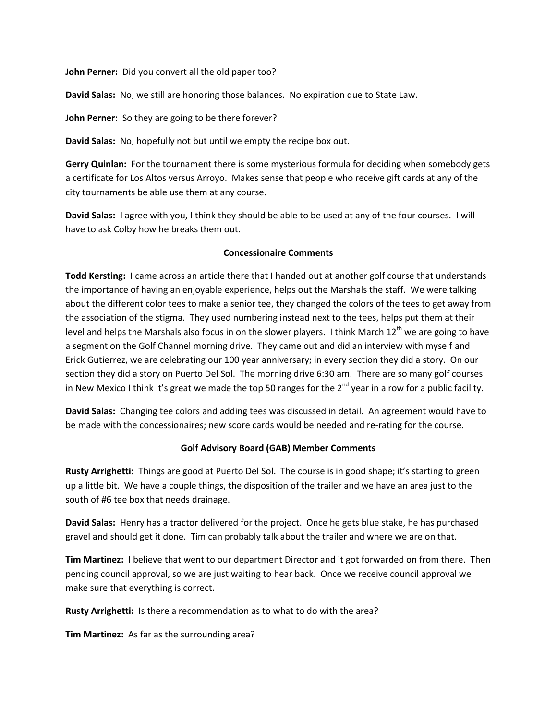**John Perner:** Did you convert all the old paper too?

**David Salas:** No, we still are honoring those balances. No expiration due to State Law.

**John Perner:** So they are going to be there forever?

**David Salas:** No, hopefully not but until we empty the recipe box out.

**Gerry Quinlan:** For the tournament there is some mysterious formula for deciding when somebody gets a certificate for Los Altos versus Arroyo. Makes sense that people who receive gift cards at any of the city tournaments be able use them at any course.

**David Salas:** I agree with you, I think they should be able to be used at any of the four courses. I will have to ask Colby how he breaks them out.

#### **Concessionaire Comments**

**Todd Kersting:** I came across an article there that I handed out at another golf course that understands the importance of having an enjoyable experience, helps out the Marshals the staff. We were talking about the different color tees to make a senior tee, they changed the colors of the tees to get away from the association of the stigma. They used numbering instead next to the tees, helps put them at their level and helps the Marshals also focus in on the slower players. I think March 12<sup>th</sup> we are going to have a segment on the Golf Channel morning drive. They came out and did an interview with myself and Erick Gutierrez, we are celebrating our 100 year anniversary; in every section they did a story. On our section they did a story on Puerto Del Sol. The morning drive 6:30 am. There are so many golf courses in New Mexico I think it's great we made the top 50 ranges for the  $2^{nd}$  year in a row for a public facility.

**David Salas:** Changing tee colors and adding tees was discussed in detail. An agreement would have to be made with the concessionaires; new score cards would be needed and re-rating for the course.

# **Golf Advisory Board (GAB) Member Comments**

**Rusty Arrighetti:** Things are good at Puerto Del Sol. The course is in good shape; it's starting to green up a little bit. We have a couple things, the disposition of the trailer and we have an area just to the south of #6 tee box that needs drainage.

**David Salas:** Henry has a tractor delivered for the project. Once he gets blue stake, he has purchased gravel and should get it done. Tim can probably talk about the trailer and where we are on that.

**Tim Martinez:** I believe that went to our department Director and it got forwarded on from there. Then pending council approval, so we are just waiting to hear back. Once we receive council approval we make sure that everything is correct.

**Rusty Arrighetti:** Is there a recommendation as to what to do with the area?

**Tim Martinez:** As far as the surrounding area?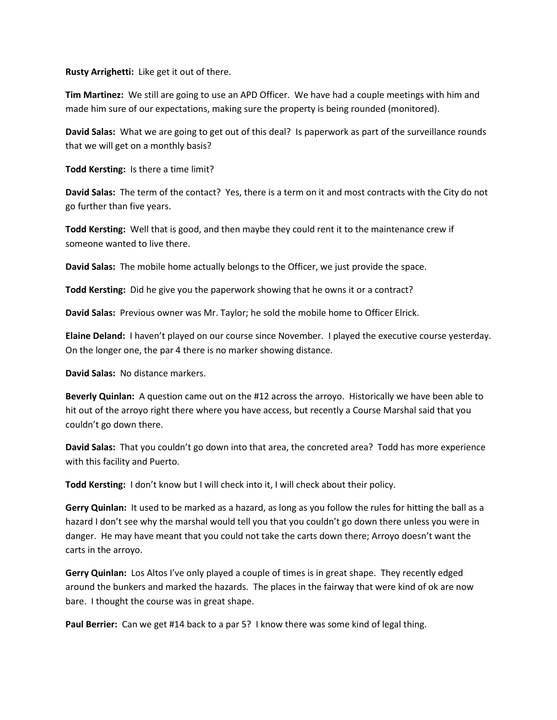**Rusty Arrighetti:** Like get it out of there.

**Tim Martinez:** We still are going to use an APD Officer. We have had a couple meetings with him and made him sure of our expectations, making sure the property is being rounded (monitored).

**David Salas:** What we are going to get out of this deal? Is paperwork as part of the surveillance rounds that we will get on a monthly basis?

**Todd Kersting:** Is there a time limit?

**David Salas:** The term of the contact? Yes, there is a term on it and most contracts with the City do not go further than five years.

**Todd Kersting:** Well that is good, and then maybe they could rent it to the maintenance crew if someone wanted to live there.

**David Salas:** The mobile home actually belongs to the Officer, we just provide the space.

**Todd Kersting:** Did he give you the paperwork showing that he owns it or a contract?

**David Salas:** Previous owner was Mr. Taylor; he sold the mobile home to Officer Elrick.

**Elaine Deland:** I haven't played on our course since November. I played the executive course yesterday. On the longer one, the par 4 there is no marker showing distance.

**David Salas:** No distance markers.

**Beverly Quinlan:** A question came out on the #12 across the arroyo. Historically we have been able to hit out of the arroyo right there where you have access, but recently a Course Marshal said that you couldn't go down there.

**David Salas:** That you couldn't go down into that area, the concreted area? Todd has more experience with this facility and Puerto.

**Todd Kersting:** I don't know but I will check into it, I will check about their policy.

**Gerry Quinlan:** It used to be marked as a hazard, as long as you follow the rules for hitting the ball as a hazard I don't see why the marshal would tell you that you couldn't go down there unless you were in danger. He may have meant that you could not take the carts down there; Arroyo doesn't want the carts in the arroyo.

**Gerry Quinlan:** Los Altos I've only played a couple of times is in great shape. They recently edged around the bunkers and marked the hazards. The places in the fairway that were kind of ok are now bare. I thought the course was in great shape.

**Paul Berrier:** Can we get #14 back to a par 5? I know there was some kind of legal thing.